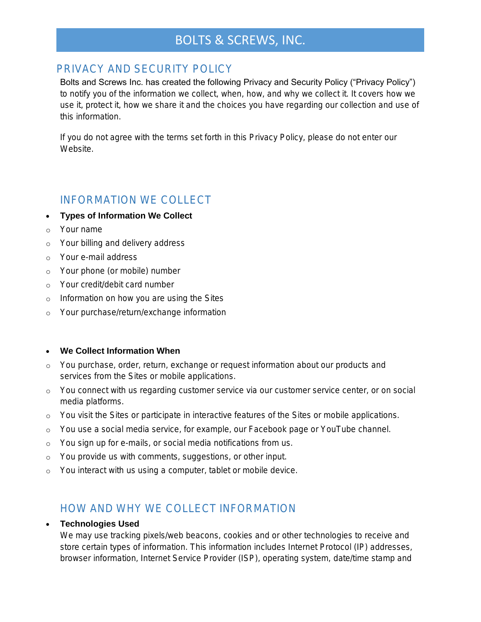# BOLTS & SCREWS, INC.

### PRIVACY AND SECURITY POLICY

Bolts and Screws Inc. has created the following Privacy and Security Policy ("Privacy Policy") to notify you of the information we collect, when, how, and why we collect it. It covers how we use it, protect it, how we share it and the choices you have regarding our collection and use of this information.

If you do not agree with the terms set forth in this Privacy Policy, please do not enter our Website.

## INFORMATION WE COLLECT

- Types of Information We Collect
- o Your name
- o Your billing and delivery address
- o Your e-mail address
- o Your phone (or mobile) number
- o Your credit/debit card number
- o Information on how you are using the Sites
- o Your purchase/return/exchange information

### We Collect Information When

- o You purchase, order, return, exchange or request information about our products and services from the Sites or mobile applications.
- o You connect with us regarding customer service via our customer service center, or on social media platforms.
- o You visit the Sites or participate in interactive features of the Sites or mobile applications.
- o You use a social media service, for example, our Facebook page or YouTube channel.
- o You sign up for e-mails, or social media notifications from us.
- o You provide us with comments, suggestions, or other input.
- o You interact with us using a computer, tablet or mobile device.

## HOW AND WHY WE COLLECT INFORMATION

### Technologies Used

We may use tracking pixels/web beacons, cookies and or other technologies to receive and store certain types of information. This information includes Internet Protocol (IP) addresses, browser information, Internet Service Provider (ISP), operating system, date/time stamp and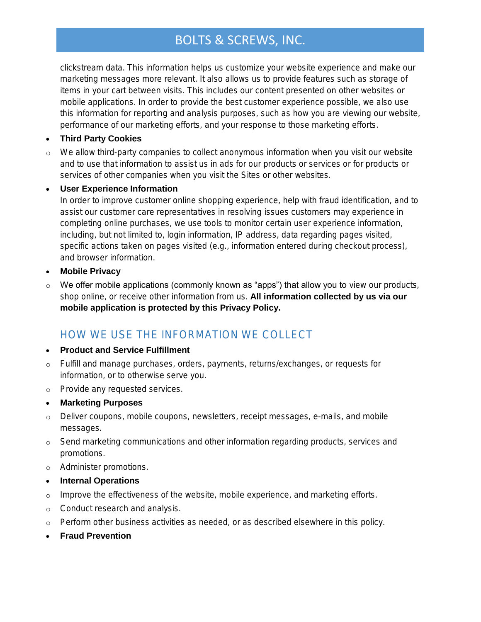# BOLTS & SCREWS, INC.

clickstream data. This information helps us customize your website experience and make our marketing messages more relevant. It also allows us to provide features such as storage of items in your cart between visits. This includes our content presented on other websites or mobile applications. In order to provide the best customer experience possible, we also use this information for reporting and analysis purposes, such as how you are viewing our website, performance of our marketing efforts, and your response to those marketing efforts.

### • Third Party Cookies

o We allow third-party companies to collect anonymous information when you visit our website and to use that information to assist us in ads for our products or services or for products or services of other companies when you visit the Sites or other websites.

### User Experience Information

In order to improve customer online shopping experience, help with fraud identification, and to assist our customer care representatives in resolving issues customers may experience in completing online purchases, we use tools to monitor certain user experience information, including, but not limited to, login information, IP address, data regarding pages visited, specific actions taken on pages visited (e.g., information entered during checkout process), and browser information.

- Mobile Privacy
- o We offer mobile applications (commonly known as "apps") that allow you to view our products, shop online, or receive other information from us. All information collected by us via our mobile application is protected by this Privacy Policy.

# HOW WE USE THE INFORMATION WE COLLECT

- Product and Service Fulfillment
- o Fulfill and manage purchases, orders, payments, returns/exchanges, or requests for information, or to otherwise serve you.
- o Provide any requested services.
- Marketing Purposes
- o Deliver coupons, mobile coupons, newsletters, receipt messages, e-mails, and mobile messages.
- o Send marketing communications and other information regarding products, services and promotions.
- o Administer promotions.
- Internal Operations
- o Improve the effectiveness of the website, mobile experience, and marketing efforts.
- o Conduct research and analysis.
- o Perform other business activities as needed, or as described elsewhere in this policy.
- Fraud Prevention